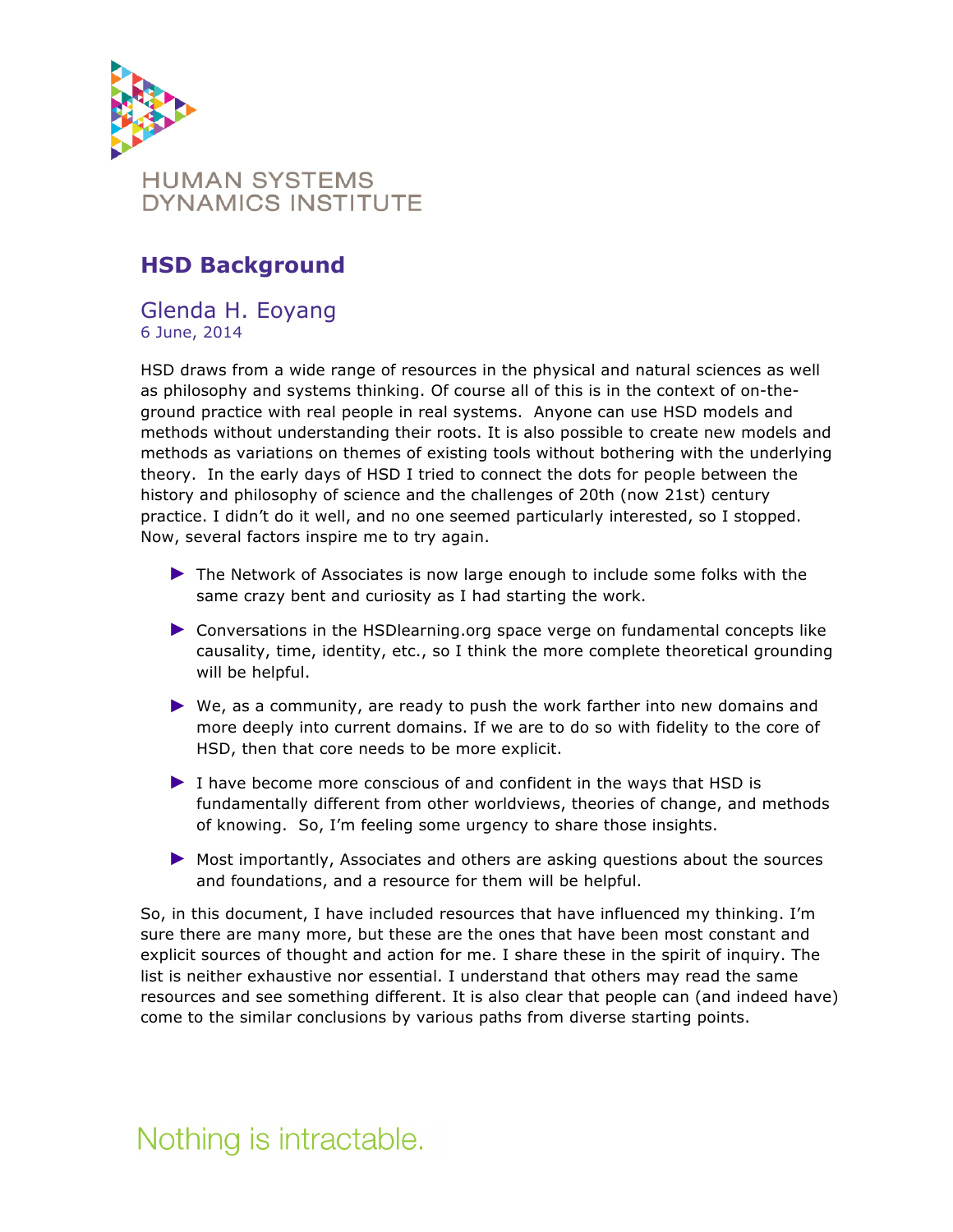

## **HSD Background**

#### Glenda H. Eoyang 6 June, 2014

HSD draws from a wide range of resources in the physical and natural sciences as well as philosophy and systems thinking. Of course all of this is in the context of on-theground practice with real people in real systems. Anyone can use HSD models and methods without understanding their roots. It is also possible to create new models and methods as variations on themes of existing tools without bothering with the underlying theory. In the early days of HSD I tried to connect the dots for people between the history and philosophy of science and the challenges of 20th (now 21st) century practice. I didn't do it well, and no one seemed particularly interested, so I stopped. Now, several factors inspire me to try again.

- ► The Network of Associates is now large enough to include some folks with the same crazy bent and curiosity as I had starting the work.
- ► Conversations in the HSDlearning.org space verge on fundamental concepts like causality, time, identity, etc., so I think the more complete theoretical grounding will be helpful.
- ► We, as a community, are ready to push the work farther into new domains and more deeply into current domains. If we are to do so with fidelity to the core of HSD, then that core needs to be more explicit.
- ► I have become more conscious of and confident in the ways that HSD is fundamentally different from other worldviews, theories of change, and methods of knowing. So, I'm feeling some urgency to share those insights.
- ► Most importantly, Associates and others are asking questions about the sources and foundations, and a resource for them will be helpful.

So, in this document, I have included resources that have influenced my thinking. I'm sure there are many more, but these are the ones that have been most constant and explicit sources of thought and action for me. I share these in the spirit of inquiry. The list is neither exhaustive nor essential. I understand that others may read the same resources and see something different. It is also clear that people can (and indeed have) come to the similar conclusions by various paths from diverse starting points.

## Nothing is intractable.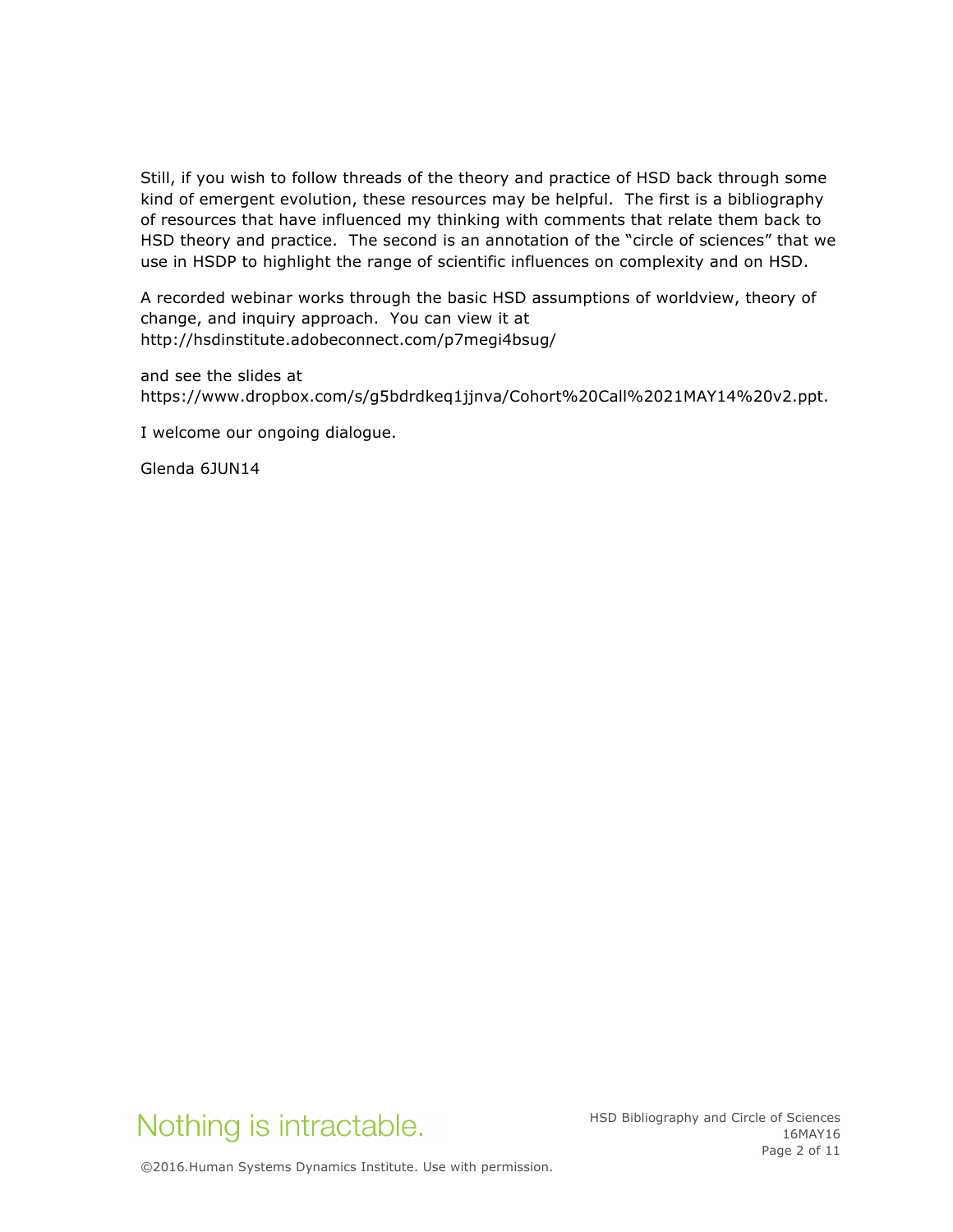Still, if you wish to follow threads of the theory and practice of HSD back through some kind of emergent evolution, these resources may be helpful. The first is a bibliography of resources that have influenced my thinking with comments that relate them back to HSD theory and practice. The second is an annotation of the "circle of sciences" that we use in HSDP to highlight the range of scientific influences on complexity and on HSD.

A recorded webinar works through the basic HSD assumptions of worldview, theory of change, and inquiry approach. You can view it at http://hsdinstitute.adobeconnect.com/p7megi4bsug/

and see the slides at https://www.dropbox.com/s/g5bdrdkeq1jjnva/Cohort%20Call%2021MAY14%20v2.ppt.

I welcome our ongoing dialogue.

Glenda 6JUN14



HSD Bibliography and Circle of Sciences 16MAY16 Page 2 of 11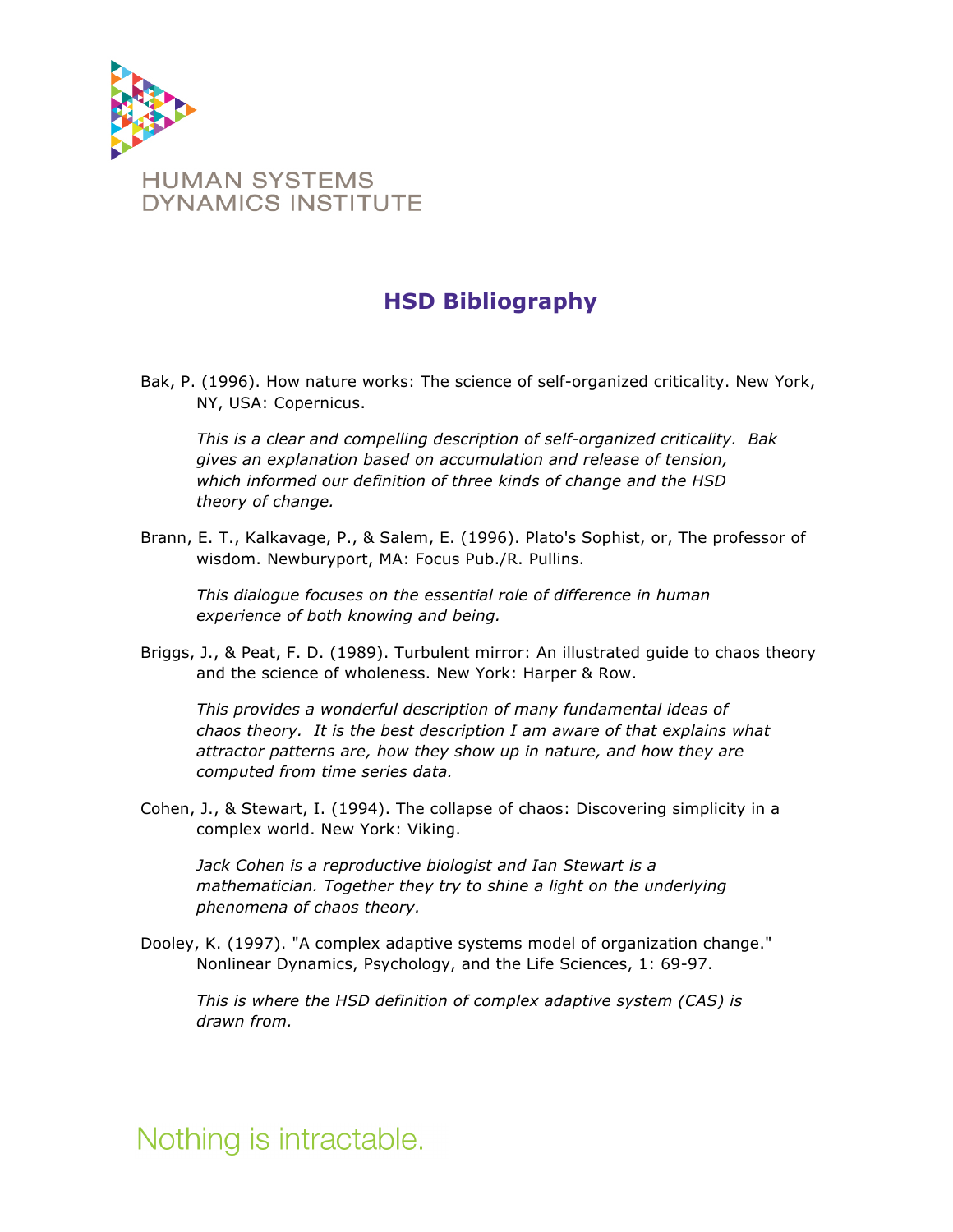

## **HSD Bibliography**

Bak, P. (1996). How nature works: The science of self-organized criticality. New York, NY, USA: Copernicus.

*This is a clear and compelling description of self-organized criticality. Bak gives an explanation based on accumulation and release of tension, which informed our definition of three kinds of change and the HSD theory of change.* 

Brann, E. T., Kalkavage, P., & Salem, E. (1996). Plato's Sophist, or, The professor of wisdom. Newburyport, MA: Focus Pub./R. Pullins.

*This dialogue focuses on the essential role of difference in human experience of both knowing and being.*

Briggs, J., & Peat, F. D. (1989). Turbulent mirror: An illustrated guide to chaos theory and the science of wholeness. New York: Harper & Row.

*This provides a wonderful description of many fundamental ideas of chaos theory. It is the best description I am aware of that explains what attractor patterns are, how they show up in nature, and how they are computed from time series data.* 

Cohen, J., & Stewart, I. (1994). The collapse of chaos: Discovering simplicity in a complex world. New York: Viking.

*Jack Cohen is a reproductive biologist and Ian Stewart is a mathematician. Together they try to shine a light on the underlying phenomena of chaos theory.* 

Dooley, K. (1997). "A complex adaptive systems model of organization change." Nonlinear Dynamics, Psychology, and the Life Sciences, 1: 69-97.

*This is where the HSD definition of complex adaptive system (CAS) is drawn from.* 

Nothing is intractable.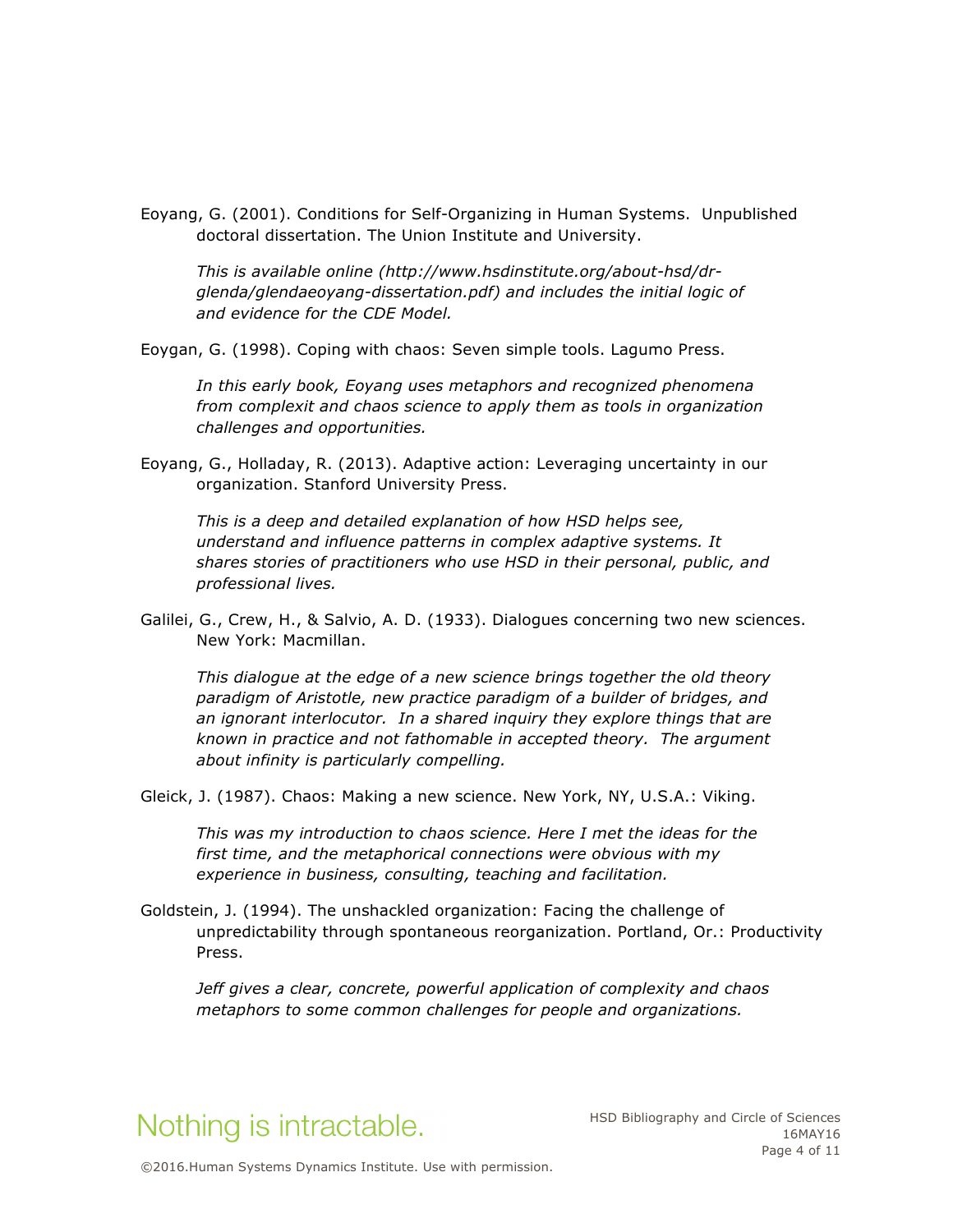Eoyang, G. (2001). Conditions for Self-Organizing in Human Systems. Unpublished doctoral dissertation. The Union Institute and University.

*This is available online (http://www.hsdinstitute.org/about-hsd/drglenda/glendaeoyang-dissertation.pdf) and includes the initial logic of and evidence for the CDE Model.* 

Eoygan, G. (1998). Coping with chaos: Seven simple tools. Lagumo Press.

*In this early book, Eoyang uses metaphors and recognized phenomena from complexit and chaos science to apply them as tools in organization challenges and opportunities.* 

Eoyang, G., Holladay, R. (2013). Adaptive action: Leveraging uncertainty in our organization. Stanford University Press.

*This is a deep and detailed explanation of how HSD helps see, understand and influence patterns in complex adaptive systems. It shares stories of practitioners who use HSD in their personal, public, and professional lives.* 

Galilei, G., Crew, H., & Salvio, A. D. (1933). Dialogues concerning two new sciences. New York: Macmillan.

*This dialogue at the edge of a new science brings together the old theory paradigm of Aristotle, new practice paradigm of a builder of bridges, and an ignorant interlocutor. In a shared inquiry they explore things that are known in practice and not fathomable in accepted theory. The argument about infinity is particularly compelling.* 

Gleick, J. (1987). Chaos: Making a new science. New York, NY, U.S.A.: Viking.

*This was my introduction to chaos science. Here I met the ideas for the first time, and the metaphorical connections were obvious with my experience in business, consulting, teaching and facilitation.* 

Goldstein, J. (1994). The unshackled organization: Facing the challenge of unpredictability through spontaneous reorganization. Portland, Or.: Productivity Press.

*Jeff gives a clear, concrete, powerful application of complexity and chaos metaphors to some common challenges for people and organizations.*

## Nothing is intractable.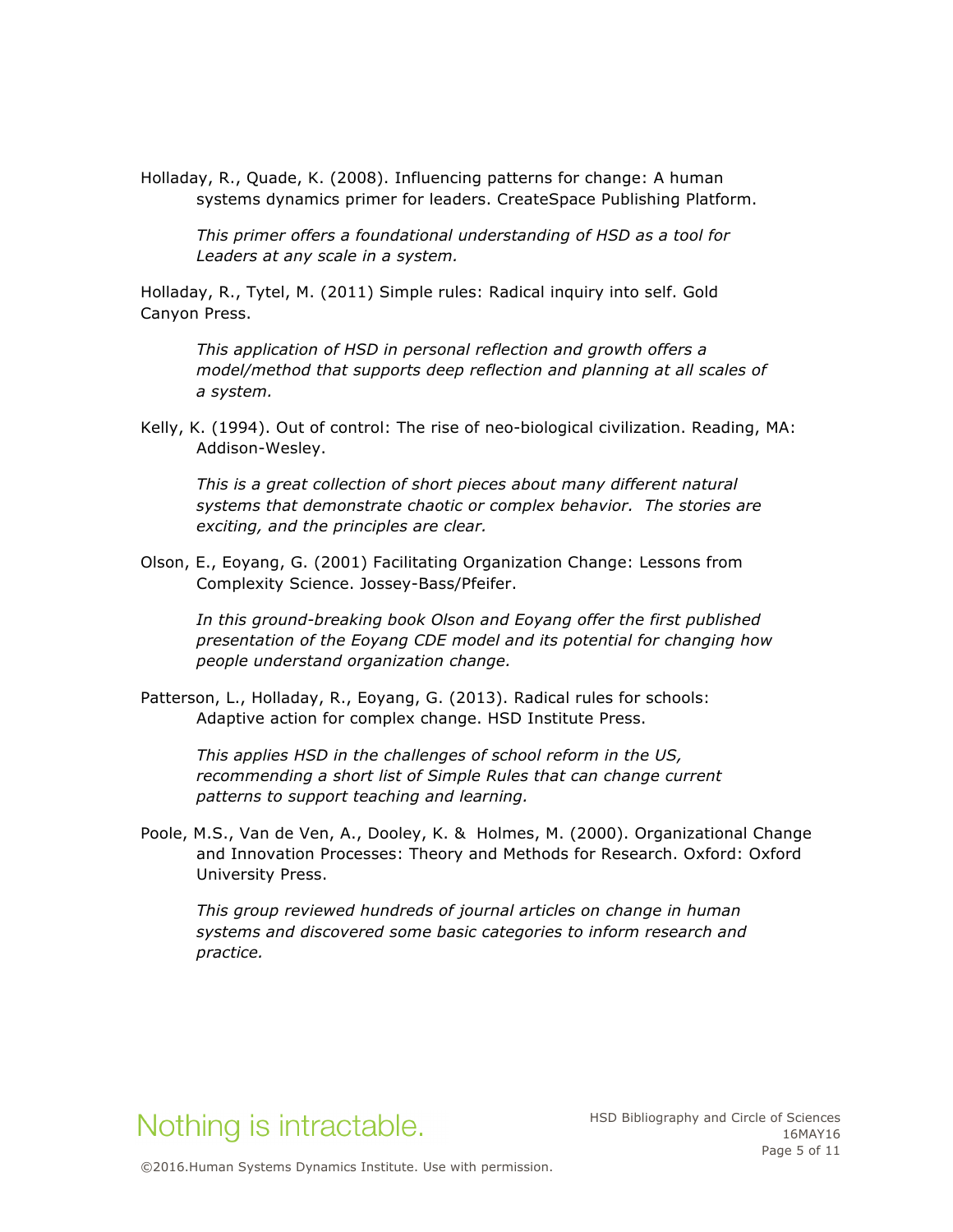Holladay, R., Quade, K. (2008). Influencing patterns for change: A human systems dynamics primer for leaders. CreateSpace Publishing Platform.

*This primer offers a foundational understanding of HSD as a tool for Leaders at any scale in a system.*

Holladay, R., Tytel, M. (2011) Simple rules: Radical inquiry into self. Gold Canyon Press.

*This application of HSD in personal reflection and growth offers a model/method that supports deep reflection and planning at all scales of a system.* 

Kelly, K. (1994). Out of control: The rise of neo-biological civilization. Reading, MA: Addison-Wesley.

*This is a great collection of short pieces about many different natural systems that demonstrate chaotic or complex behavior. The stories are exciting, and the principles are clear.* 

Olson, E., Eoyang, G. (2001) Facilitating Organization Change: Lessons from Complexity Science. Jossey-Bass/Pfeifer.

*In this ground-breaking book Olson and Eoyang offer the first published presentation of the Eoyang CDE model and its potential for changing how people understand organization change.*

Patterson, L., Holladay, R., Eoyang, G. (2013). Radical rules for schools: Adaptive action for complex change. HSD Institute Press.

*This applies HSD in the challenges of school reform in the US, recommending a short list of Simple Rules that can change current patterns to support teaching and learning.* 

Poole, M.S., Van de Ven, A., Dooley, K. & Holmes, M. (2000). Organizational Change and Innovation Processes: Theory and Methods for Research. Oxford: Oxford University Press.

*This group reviewed hundreds of journal articles on change in human systems and discovered some basic categories to inform research and practice.* 

## Nothing is intractable.

HSD Bibliography and Circle of Sciences 16MAY16 Page 5 of 11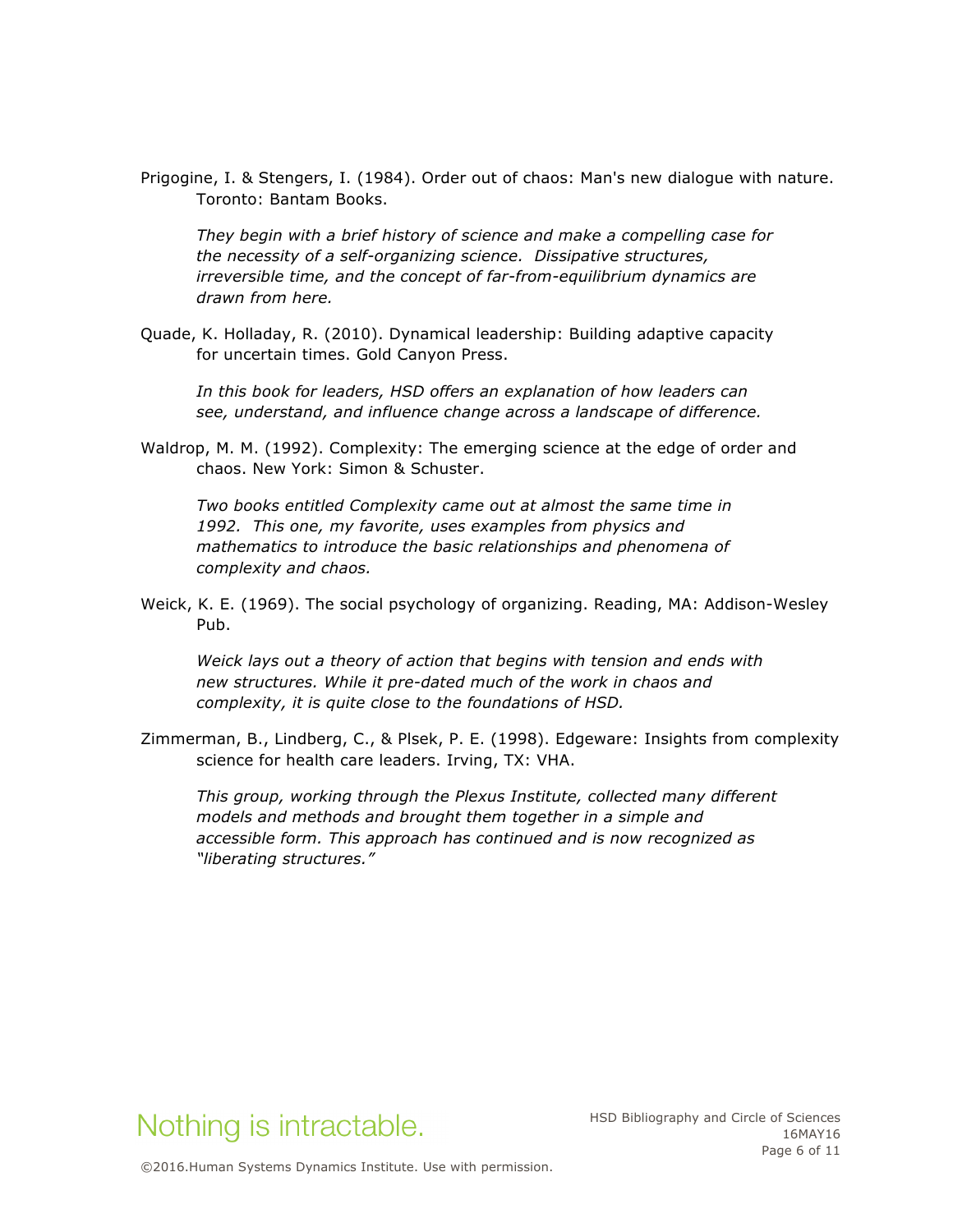Prigogine, I. & Stengers, I. (1984). Order out of chaos: Man's new dialogue with nature. Toronto: Bantam Books.

*They begin with a brief history of science and make a compelling case for the necessity of a self-organizing science. Dissipative structures, irreversible time, and the concept of far-from-equilibrium dynamics are drawn from here.* 

Quade, K. Holladay, R. (2010). Dynamical leadership: Building adaptive capacity for uncertain times. Gold Canyon Press.

*In this book for leaders, HSD offers an explanation of how leaders can see, understand, and influence change across a landscape of difference.* 

Waldrop, M. M. (1992). Complexity: The emerging science at the edge of order and chaos. New York: Simon & Schuster.

*Two books entitled Complexity came out at almost the same time in 1992. This one, my favorite, uses examples from physics and mathematics to introduce the basic relationships and phenomena of complexity and chaos.* 

Weick, K. E. (1969). The social psychology of organizing. Reading, MA: Addison-Wesley Pub.

*Weick lays out a theory of action that begins with tension and ends with new structures. While it pre-dated much of the work in chaos and complexity, it is quite close to the foundations of HSD.* 

Zimmerman, B., Lindberg, C., & Plsek, P. E. (1998). Edgeware: Insights from complexity science for health care leaders. Irving, TX: VHA.

*This group, working through the Plexus Institute, collected many different models and methods and brought them together in a simple and accessible form. This approach has continued and is now recognized as "liberating structures."*

## Nothing is intractable.

HSD Bibliography and Circle of Sciences 16MAY16 Page 6 of 11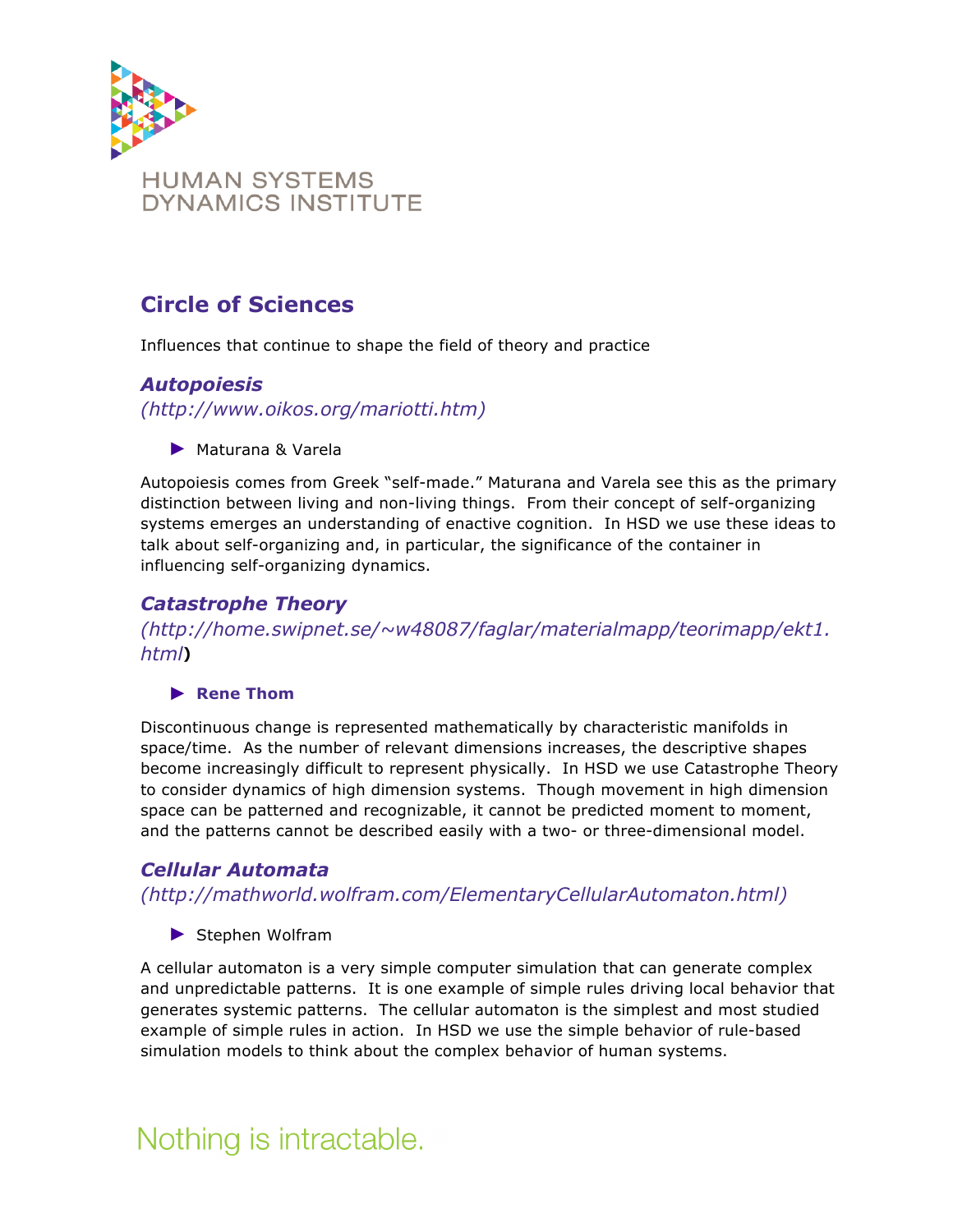

## **Circle of Sciences**

Influences that continue to shape the field of theory and practice

### *Autopoiesis*

*(http://www.oikos.org/mariotti.htm)* 

► Maturana & Varela

Autopoiesis comes from Greek "self-made." Maturana and Varela see this as the primary distinction between living and non-living things. From their concept of self-organizing systems emerges an understanding of enactive cognition. In HSD we use these ideas to talk about self-organizing and, in particular, the significance of the container in influencing self-organizing dynamics.

## *Catastrophe Theory*

*(http://home.swipnet.se/~w48087/faglar/materialmapp/teorimapp/ekt1. html***)**

#### ► **Rene Thom**

Discontinuous change is represented mathematically by characteristic manifolds in space/time. As the number of relevant dimensions increases, the descriptive shapes become increasingly difficult to represent physically. In HSD we use Catastrophe Theory to consider dynamics of high dimension systems. Though movement in high dimension space can be patterned and recognizable, it cannot be predicted moment to moment, and the patterns cannot be described easily with a two- or three-dimensional model.

## *Cellular Automata*

*(http://mathworld.wolfram.com/ElementaryCellularAutomaton.html)*

► Stephen Wolfram

A cellular automaton is a very simple computer simulation that can generate complex and unpredictable patterns. It is one example of simple rules driving local behavior that generates systemic patterns. The cellular automaton is the simplest and most studied example of simple rules in action. In HSD we use the simple behavior of rule-based simulation models to think about the complex behavior of human systems.

## Nothing is intractable.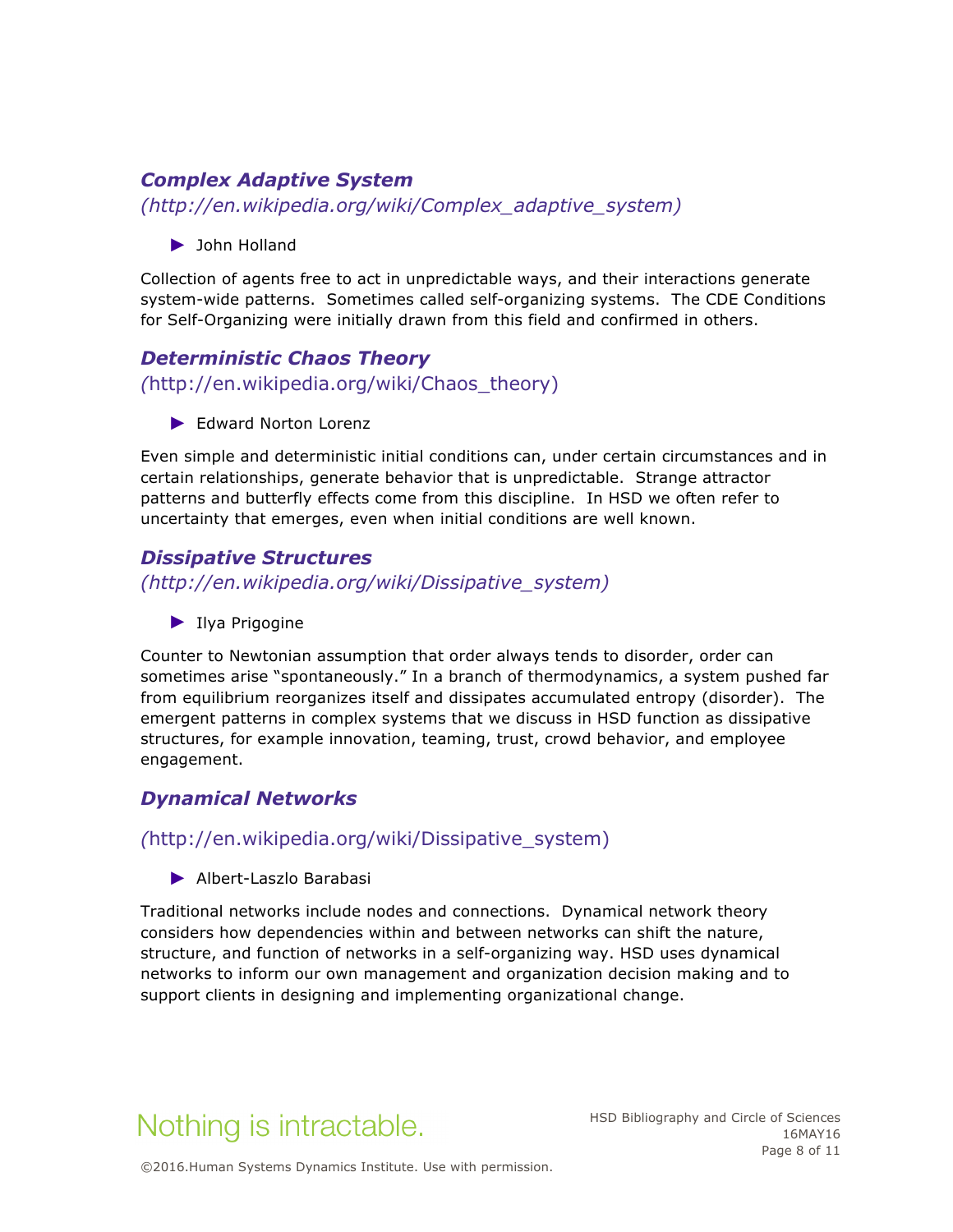## *Complex Adaptive System*

*(http://en.wikipedia.org/wiki/Complex\_adaptive\_system)*

► John Holland

Collection of agents free to act in unpredictable ways, and their interactions generate system-wide patterns. Sometimes called self-organizing systems. The CDE Conditions for Self-Organizing were initially drawn from this field and confirmed in others.

## *Deterministic Chaos Theory (*http://en.wikipedia.org/wiki/Chaos\_theory)

► Edward Norton Lorenz

Even simple and deterministic initial conditions can, under certain circumstances and in certain relationships, generate behavior that is unpredictable. Strange attractor patterns and butterfly effects come from this discipline. In HSD we often refer to uncertainty that emerges, even when initial conditions are well known.

#### *Dissipative Structures*

*(http://en.wikipedia.org/wiki/Dissipative\_system)*

► Ilya Prigogine

Counter to Newtonian assumption that order always tends to disorder, order can sometimes arise "spontaneously." In a branch of thermodynamics, a system pushed far from equilibrium reorganizes itself and dissipates accumulated entropy (disorder). The emergent patterns in complex systems that we discuss in HSD function as dissipative structures, for example innovation, teaming, trust, crowd behavior, and employee engagement.

### *Dynamical Networks*

#### *(*http://en.wikipedia.org/wiki/Dissipative\_system)

► Albert-Laszlo Barabasi

Traditional networks include nodes and connections. Dynamical network theory considers how dependencies within and between networks can shift the nature, structure, and function of networks in a self-organizing way. HSD uses dynamical networks to inform our own management and organization decision making and to support clients in designing and implementing organizational change.

# Nothing is intractable.

HSD Bibliography and Circle of Sciences 16MAY16 Page 8 of 11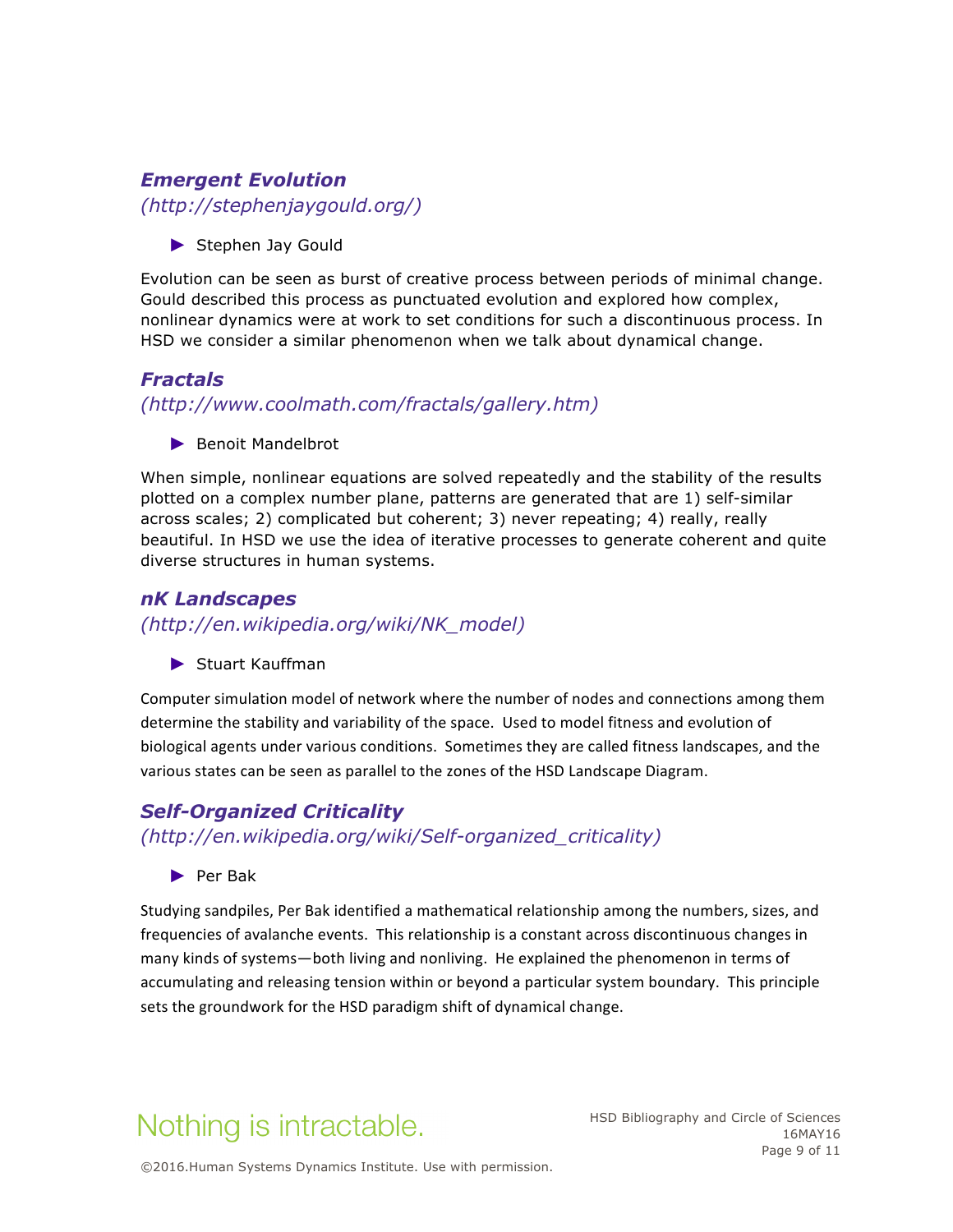### *Emergent Evolution*

*(http://stephenjaygould.org/)*

► Stephen Jay Gould

Evolution can be seen as burst of creative process between periods of minimal change. Gould described this process as punctuated evolution and explored how complex, nonlinear dynamics were at work to set conditions for such a discontinuous process. In HSD we consider a similar phenomenon when we talk about dynamical change.

## *Fractals*

*(http://www.coolmath.com/fractals/gallery.htm)*

► Benoit Mandelbrot

When simple, nonlinear equations are solved repeatedly and the stability of the results plotted on a complex number plane, patterns are generated that are 1) self-similar across scales; 2) complicated but coherent; 3) never repeating; 4) really, really beautiful. In HSD we use the idea of iterative processes to generate coherent and quite diverse structures in human systems.

## *nK Landscapes*

*(http://en.wikipedia.org/wiki/NK\_model)*

► Stuart Kauffman

Computer simulation model of network where the number of nodes and connections among them determine the stability and variability of the space. Used to model fitness and evolution of biological agents under various conditions. Sometimes they are called fitness landscapes, and the various states can be seen as parallel to the zones of the HSD Landscape Diagram.

## *Self-Organized Criticality*

*(http://en.wikipedia.org/wiki/Self-organized\_criticality)*

► Per Bak

Studying sandpiles, Per Bak identified a mathematical relationship among the numbers, sizes, and frequencies of avalanche events. This relationship is a constant across discontinuous changes in many kinds of systems—both living and nonliving. He explained the phenomenon in terms of accumulating and releasing tension within or beyond a particular system boundary. This principle sets the groundwork for the HSD paradigm shift of dynamical change.

# Nothing is intractable.

HSD Bibliography and Circle of Sciences 16MAY16 Page 9 of 11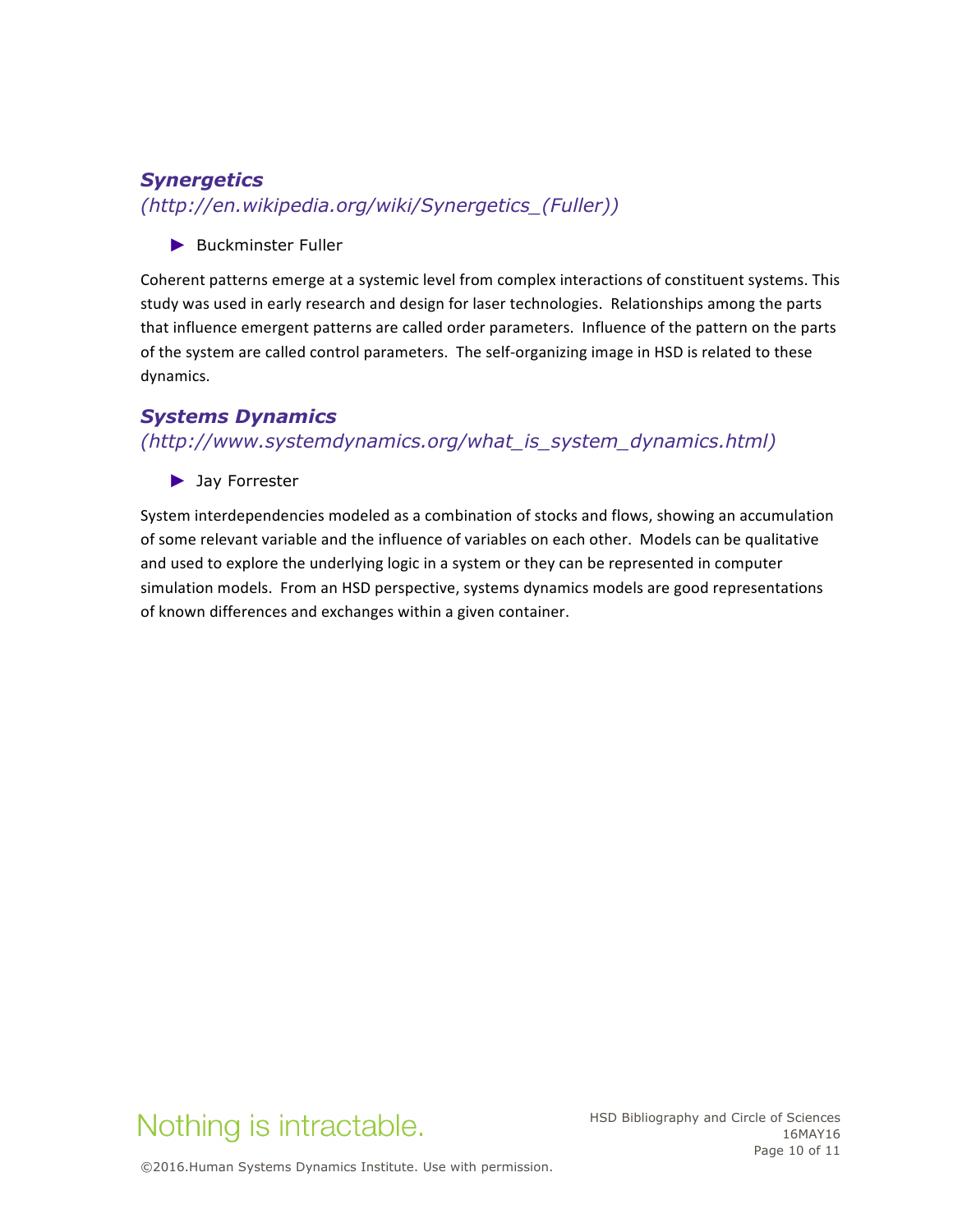## *Synergetics*

*(http://en.wikipedia.org/wiki/Synergetics\_(Fuller))*

► Buckminster Fuller

Coherent patterns emerge at a systemic level from complex interactions of constituent systems. This study was used in early research and design for laser technologies. Relationships among the parts that influence emergent patterns are called order parameters. Influence of the pattern on the parts of the system are called control parameters. The self-organizing image in HSD is related to these dynamics. 

### *Systems Dynamics*

*(http://www.systemdynamics.org/what\_is\_system\_dynamics.html)*

► Jay Forrester

System interdependencies modeled as a combination of stocks and flows, showing an accumulation of some relevant variable and the influence of variables on each other. Models can be qualitative and used to explore the underlying logic in a system or they can be represented in computer simulation models. From an HSD perspective, systems dynamics models are good representations of known differences and exchanges within a given container.



HSD Bibliography and Circle of Sciences 16MAY16 Page 10 of 11